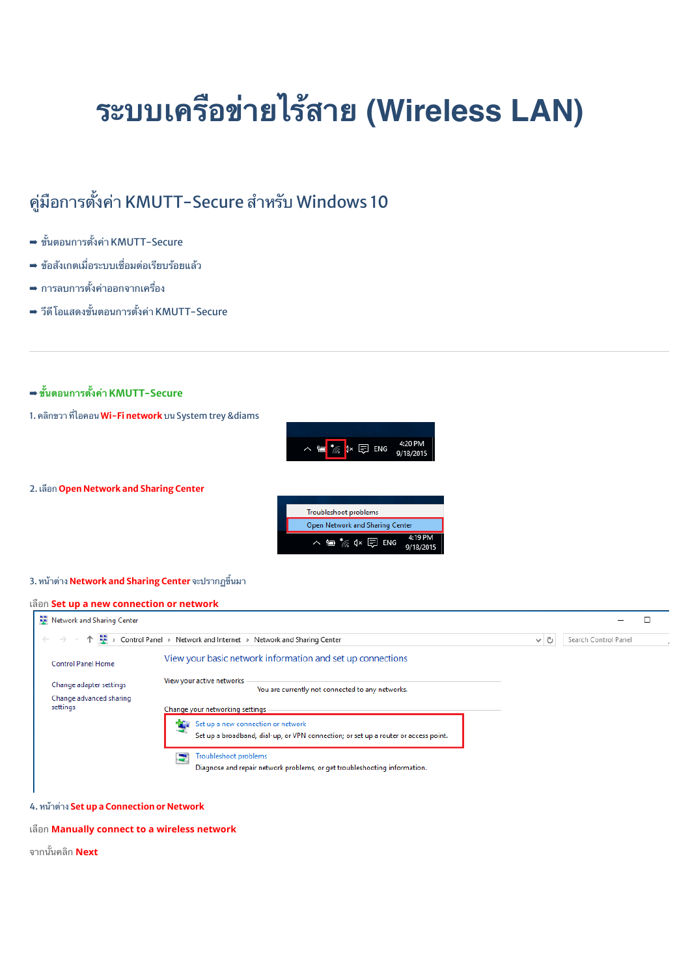# **ระบบเครอขายไรสาย (Wireless LAN)**

## คู่มือการตั้งค่า KMUTT-Secure สำหรับ Windows 10

- ➡ ขั้นตอนการตั้งค่า KMUTT-Secure
- ➡ ข้อสังเกตเมื่อระบบเชื่อมต่อเรียบร้อยแล้ว
- $\Rightarrow$  การลบการตั้งค่าออกจากเครื่อง
- $\Rightarrow$  วีดี โอแสดงขั้นตอนการตั้งค่า KMUTT-Secure

## ➡ **!นตอนการ(ง\*า KMUTT-Secure**



#### 3. หน้าต่าง Network and Sharing Center จะปรากฏขึ้นมา

#### เRอก **Set up a new connection or network**



#### 4. หน้าต่าง Set up a Connection or Network

#### เRอก **Manually connect to a wireless network**

จากบั๊บคลิก **Next**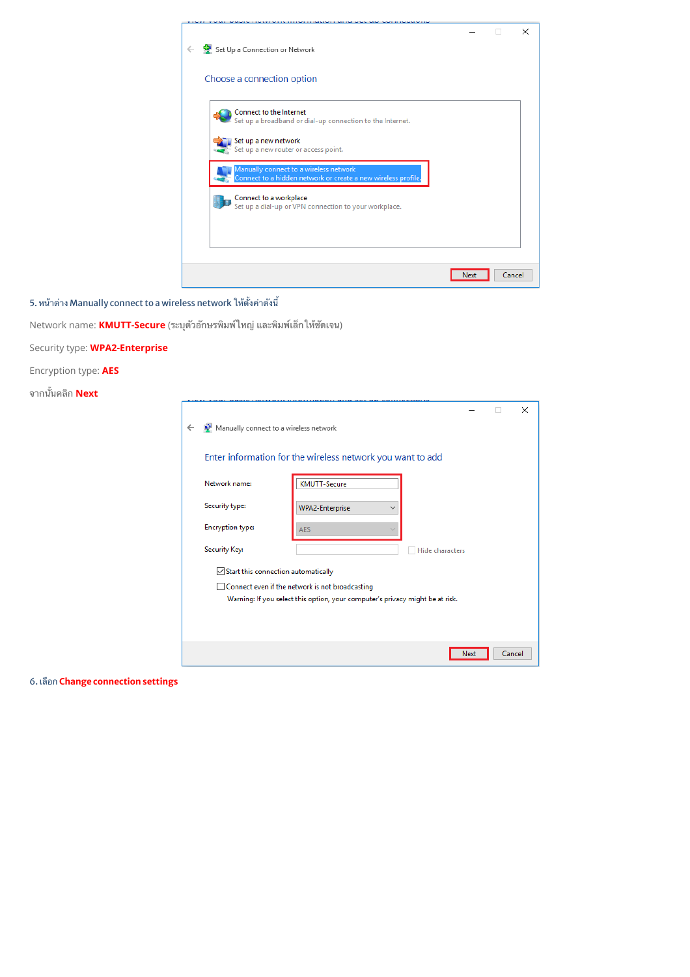

5. หน้าต่าง Manually connect to a wireless network ให้ตั้งค่าดังนี้

Network name: KMUTT-Secure (ระบุตัวอักษรพิมพ์ใหญ่ และพิมพ์เล็กให้ชัดเจน)

Security type: **WPA2-Enterprise** 

Encryption type: AES

จากนั้นคลิก Next

|  |                                                                                                                                  | Enter information for the wireless network you want to add |  |  |  |
|--|----------------------------------------------------------------------------------------------------------------------------------|------------------------------------------------------------|--|--|--|
|  | Network name:                                                                                                                    | <b>KMUTT-Secure</b>                                        |  |  |  |
|  | Security type:                                                                                                                   | <b>WPA2-Enterprise</b>                                     |  |  |  |
|  | <b>Encryption type:</b>                                                                                                          | <b>AES</b>                                                 |  |  |  |
|  | Security Key:                                                                                                                    | Hide characters                                            |  |  |  |
|  | $\sqrt{\ }$ Start this connection automatically                                                                                  |                                                            |  |  |  |
|  | Connect even if the network is not broadcasting<br>Warning: If you select this option, your computer's privacy might be at risk. |                                                            |  |  |  |
|  |                                                                                                                                  |                                                            |  |  |  |

6. เลือก Change connection settings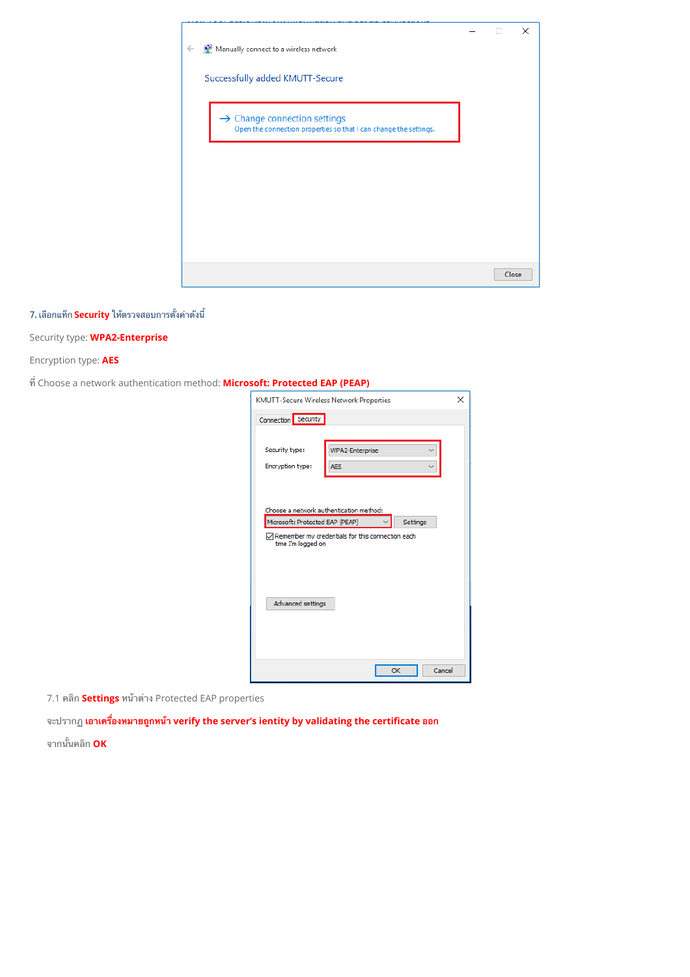

### 7. เลือกแท็ก Security ให้ตรวจสอบการตั้งค่าดังนี้

### Security type: **WPA2-Enterprise**

Encryption type: AES

 $\vec{\eta}$  Choose a network authentication method: Microsoft: Protected EAP (PEAP)

| <b>KMUTT-Secure Wireless Network Properties</b><br>×                                   |                        |              |  |  |  |  |  |  |
|----------------------------------------------------------------------------------------|------------------------|--------------|--|--|--|--|--|--|
| Connection Security                                                                    |                        |              |  |  |  |  |  |  |
|                                                                                        |                        |              |  |  |  |  |  |  |
| Security type:                                                                         | <b>WPA2-Enterprise</b> |              |  |  |  |  |  |  |
| Encryption type:                                                                       | <b>AES</b>             |              |  |  |  |  |  |  |
|                                                                                        |                        |              |  |  |  |  |  |  |
|                                                                                        |                        |              |  |  |  |  |  |  |
| Choose a network authentication method:<br>Microsoft: Protected EAP (PEAP)<br>Settings |                        |              |  |  |  |  |  |  |
| $\sqrt{}$ Remember my credentials for this connection each                             |                        |              |  |  |  |  |  |  |
| time I'm logged on                                                                     |                        |              |  |  |  |  |  |  |
|                                                                                        |                        |              |  |  |  |  |  |  |
|                                                                                        |                        |              |  |  |  |  |  |  |
| Advanced settings                                                                      |                        |              |  |  |  |  |  |  |
|                                                                                        |                        |              |  |  |  |  |  |  |
|                                                                                        |                        |              |  |  |  |  |  |  |
|                                                                                        |                        |              |  |  |  |  |  |  |
|                                                                                        |                        | Cancel<br>OK |  |  |  |  |  |  |

7.1 คลิก **Settings** หน้าต่าง Protected EAP properties

จะปรากฏ <mark>เอาเครื่องหมายถูกหน้า verify the server's ientity by validating the certificate ออก</mark> จากนั้นคลิก **OK**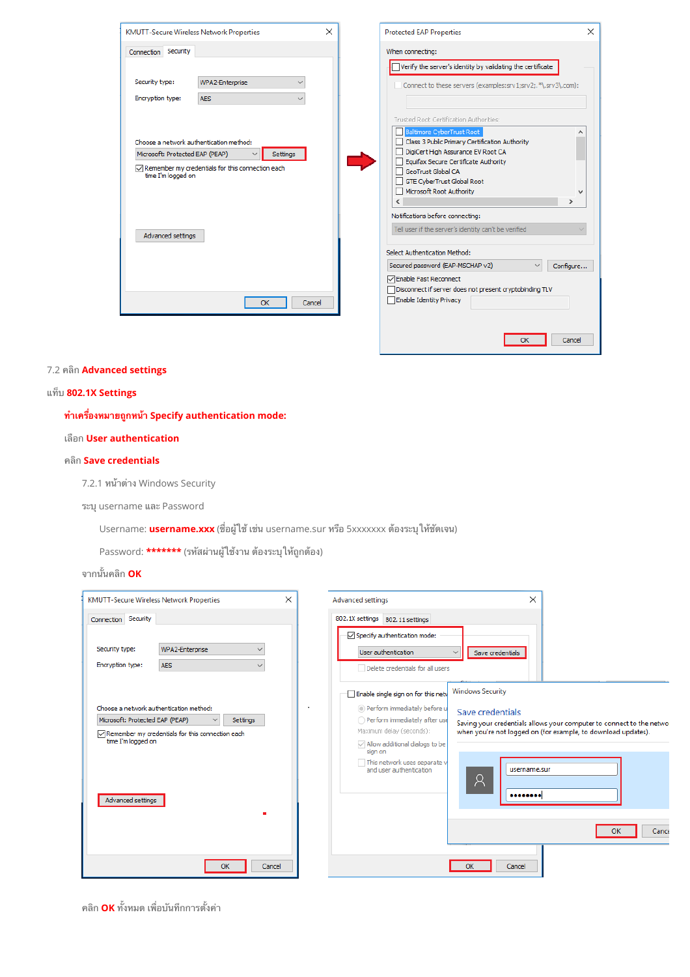

## Connect to these servers (examples:srv1;srv2;.\*\.srv3\.com): Baltimore CyberTrust Root<br>| | Class 3 Public Primary Certification Authority Ä Tell user if the server's identity can't be verified  $\vee$  Configure... □ Disconnect if server does not present cryptobinding TLV  $\overline{OK}$ Cancel

 $\times$ 

#### 7.2 คลิก Advanced settings

#### แท็บ 802.1X Settings

#### ทำเครื่องหมายถูกหน้า Specify authentication mode:

#### เลือก User authentication

#### คลิก Save credentials

7.2.1 หน้าต่าง Windows Security

ระบุ username และ Password

Username: username.xxx (ชื่อผู้ใช้ เช่น username.sur หรือ 5xxxxxxx ต้องระบุให้ชัดเจน)

Password: \*\*\*\*\*\*\* (รหัสผ่านผู้ใช้งาน ต้องระบุให้ถูกต้อง)

#### ์<br>จากนั้นคลิก **OK**

| X<br><b>KMUTT-Secure Wireless Network Properties</b>                                                                                                                                            | Advanced settings                                                                                                                                                                                                                                  | ×                                                                                                                                                                                                             |
|-------------------------------------------------------------------------------------------------------------------------------------------------------------------------------------------------|----------------------------------------------------------------------------------------------------------------------------------------------------------------------------------------------------------------------------------------------------|---------------------------------------------------------------------------------------------------------------------------------------------------------------------------------------------------------------|
| Connection Security                                                                                                                                                                             | 802.1X settings 802.11 settings                                                                                                                                                                                                                    |                                                                                                                                                                                                               |
| WPA2-Enterprise<br>Security type:<br>Encryption type:<br><b>AES</b>                                                                                                                             | $\sqrt{}$ Specify authentication mode:<br>User authentication<br>$\checkmark$<br>Delete credentials for all users                                                                                                                                  | Save credentials                                                                                                                                                                                              |
| Choose a network authentication method:<br>Microsoft: Protected EAP (PEAP)<br>Settings<br>$\sqrt{}$ Remember my credentials for this connection each<br>time I'm logged on<br>Advanced settings | Enable single sign on for this netw<br>Perform immediately before u<br>Perform immediately after use<br>Maximum delay (seconds):<br>$\sqrt{}$ Allow additional dialogs to be<br>sign on<br>This network uses separate v<br>and user authentication | <b>Windows Security</b><br>Save credentials<br>Saving your credentials allows your computer to connect to the netwo<br>when you're not logged on (for example, to download updates).<br>username.sur<br>Κ<br> |
| OK<br>Cancel                                                                                                                                                                                    |                                                                                                                                                                                                                                                    | Cance<br>OK<br>Cancel                                                                                                                                                                                         |

์ คลิก **OK** ทั้งหมด เพื่อบันทึกการตั้งค่า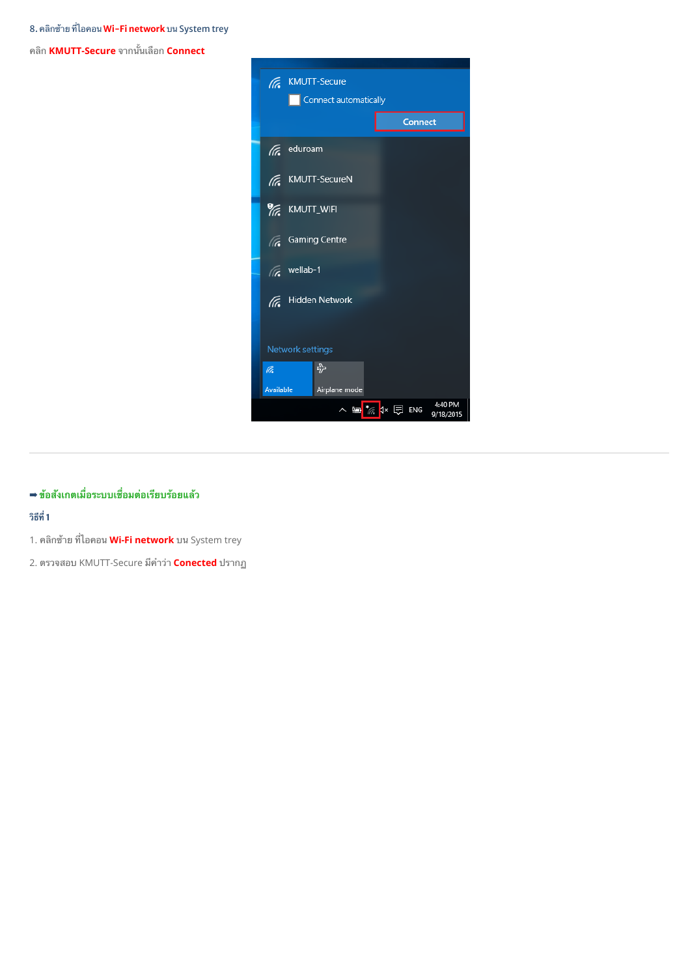คNก **KMUTT-Secure** จากWนเRอก **Connect**



## **➡ ข้อสังเกตเมื่อระบบเชื่อมต่อเรียบร้อยแล้ว**

## **@AB 1**

- 1. คลิกซ้าย ที่ไอคอน **Wi-Fi network** บน System trey
- 2. ตรวจสอบ KMUTT-Secure มีคำว่า **Conected** ปรากฏ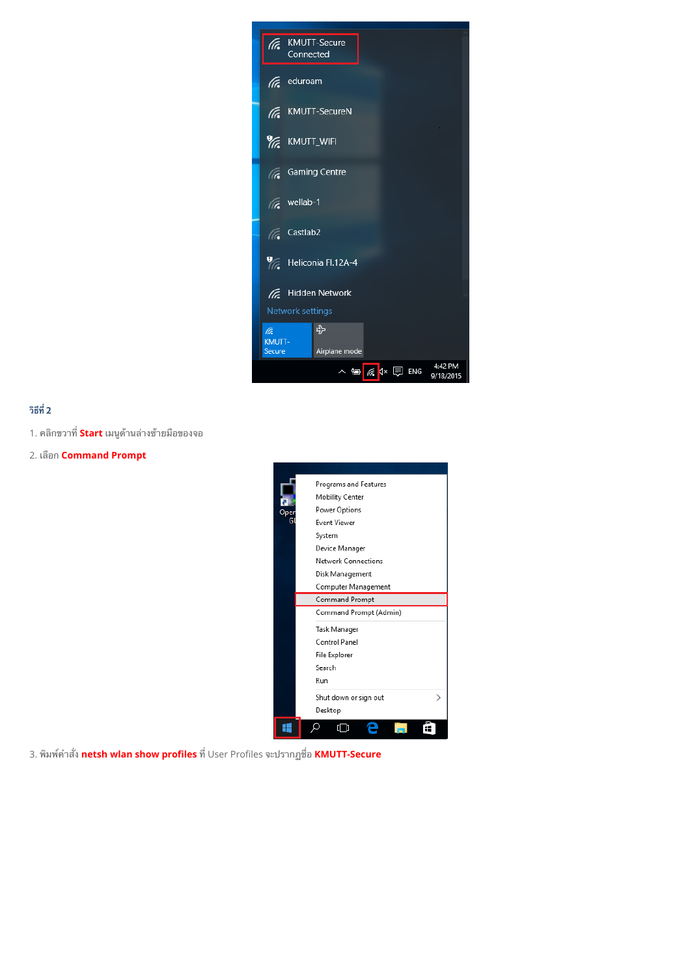

## วิธีที่ 2

- 1. คลิกขวาที่ Start เมนูด้านล่างช้ายมือของจอ
- 2. เลือก **Command Prompt**



3. พิมพ์คำสั่ง netsh wlan show profiles ที่ User Profiles จะปรากฏชื่อ KMUTT-Secure